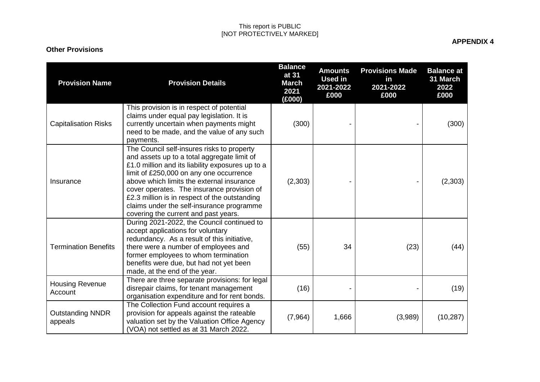## This report is PUBLIC [NOT PROTECTIVELY MARKED]

## **Other Provisions**

**APPENDIX 4**

| <b>Provision Name</b>              | <b>Provision Details</b>                                                                                                                                                                                                                                                                                                                                                                                                  | <b>Balance</b><br>at 31<br><b>March</b><br>2021<br>(E000) | <b>Amounts</b><br><b>Used in</b><br>2021-2022<br>£000 | <b>Provisions Made</b><br>in<br>2021-2022<br>£000 | <b>Balance at</b><br>31 March<br>2022<br>£000 |
|------------------------------------|---------------------------------------------------------------------------------------------------------------------------------------------------------------------------------------------------------------------------------------------------------------------------------------------------------------------------------------------------------------------------------------------------------------------------|-----------------------------------------------------------|-------------------------------------------------------|---------------------------------------------------|-----------------------------------------------|
| <b>Capitalisation Risks</b>        | This provision is in respect of potential<br>claims under equal pay legislation. It is<br>currently uncertain when payments might<br>need to be made, and the value of any such<br>payments.                                                                                                                                                                                                                              | (300)                                                     |                                                       |                                                   | (300)                                         |
| Insurance                          | The Council self-insures risks to property<br>and assets up to a total aggregate limit of<br>£1.0 million and its liability exposures up to a<br>limit of £250,000 on any one occurrence<br>above which limits the external insurance<br>cover operates. The insurance provision of<br>£2.3 million is in respect of the outstanding<br>claims under the self-insurance programme<br>covering the current and past years. | (2,303)                                                   |                                                       |                                                   | (2,303)                                       |
| <b>Termination Benefits</b>        | During 2021-2022, the Council continued to<br>accept applications for voluntary<br>redundancy. As a result of this initiative,<br>there were a number of employees and<br>former employees to whom termination<br>benefits were due, but had not yet been<br>made, at the end of the year.                                                                                                                                | (55)                                                      | 34                                                    | (23)                                              | (44)                                          |
| <b>Housing Revenue</b><br>Account  | There are three separate provisions: for legal<br>disrepair claims, for tenant management<br>organisation expenditure and for rent bonds.                                                                                                                                                                                                                                                                                 | (16)                                                      |                                                       |                                                   | (19)                                          |
| <b>Outstanding NNDR</b><br>appeals | The Collection Fund account requires a<br>provision for appeals against the rateable<br>valuation set by the Valuation Office Agency<br>(VOA) not settled as at 31 March 2022.                                                                                                                                                                                                                                            | (7, 964)                                                  | 1,666                                                 | (3,989)                                           | (10, 287)                                     |